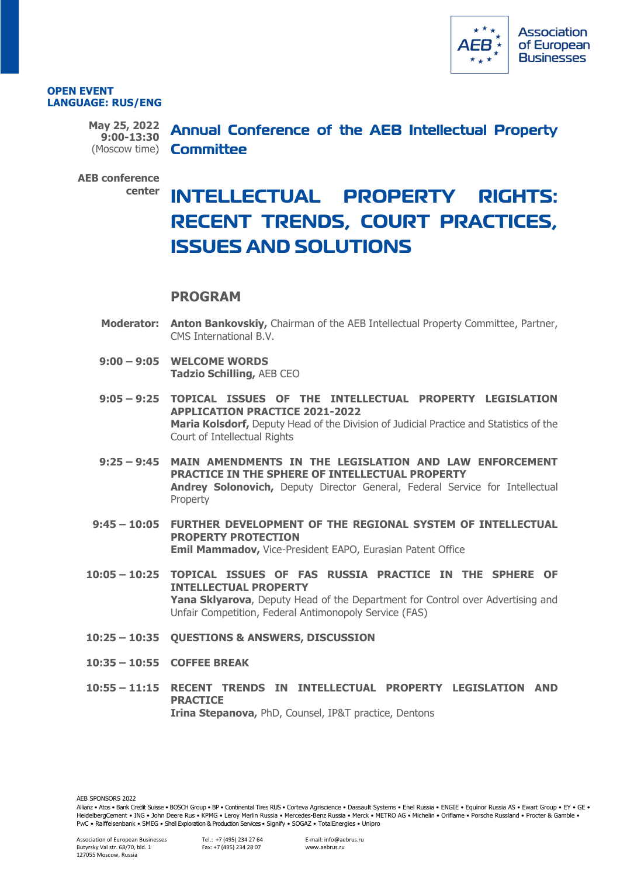

#### **OPEN EVENT LANGUAGE: RUS/ENG**

**9:00-13:30**

**May 25, 2022 Annual Conference of the AEB Intellectual Property**  (Moscow time) **Committee** 

**AEB conference** 

# **center INTELLECTUAL PROPERTY RIGHTS: RECENT TRENDS, COURT PRACTICES, ISSUES AND SOLUTIONS**

## **PROGRAM**

- **Moderator: Anton Bankovskiy,** Chairman of the AEB Intellectual Property Committee, Partner, CMS International B.V.
- **9:00 – 9:05 WELCOME WORDS Tadzio Schilling,** AEB CEO
- **9:05 – 9:25 TOPICAL ISSUES OF THE INTELLECTUAL PROPERTY LEGISLATION APPLICATION PRACTICE 2021-2022 Maria Kolsdorf,** Deputy Head of the Division of Judicial Practice and Statistics of the Court of Intellectual Rights
- **9:25 – 9:45 MAIN AMENDMENTS IN THE LEGISLATION AND LAW ENFORCEMENT PRACTICE IN THE SPHERE OF INTELLECTUAL PROPERTY Andrey Solonovich,** Deputy Director General, Federal Service for Intellectual Property
- **9:45 – 10:05 FURTHER DEVELOPMENT OF THE REGIONAL SYSTEM OF INTELLECTUAL PROPERTY PROTECTION Emil Mammadov,** Vice-President EAPO, Eurasian Patent Office
- **10:05 – 10:25 TOPICAL ISSUES OF FAS RUSSIA PRACTICE IN THE SPHERE OF INTELLECTUAL PROPERTY Yana Sklyarova**, Deputy Head of the Department for Control over Advertising and Unfair Competition, Federal Antimonopoly Service (FAS)
- **10:25 – 10:35 QUESTIONS & ANSWERS, DISCUSSION**
- **10:35 – 10:55 COFFEE BREAK**
- **10:55 – 11:15 RECENT TRENDS IN INTELLECTUAL PROPERTY LEGISLATION AND PRACTICE Irina Stepanova,** PhD, Counsel, IP&T practice, Dentons

AFB SPONSORS 2022

Allianz • Atos • Bank Credit Suisse • BOSCH Group • BP • Continental Tires RUS • Corteva Agriscience • Dassault Systems • Enel Russia • ENGIE • Equinor Russia AS • Ewart Group • EY • GE • HeidelbergCement • ING • John Deere Rus • KPMG • Leroy Merlin Russia • Mercedes-Benz Russia • Merck • METRO AG • Michelin • Oriflame • Porsche Russland • Procter & Gamble • PwC • Raiffeisenbank • SMEG • Shell Exploration & Production Services • Signify • SOGAZ • TotalEnergies • Unipro